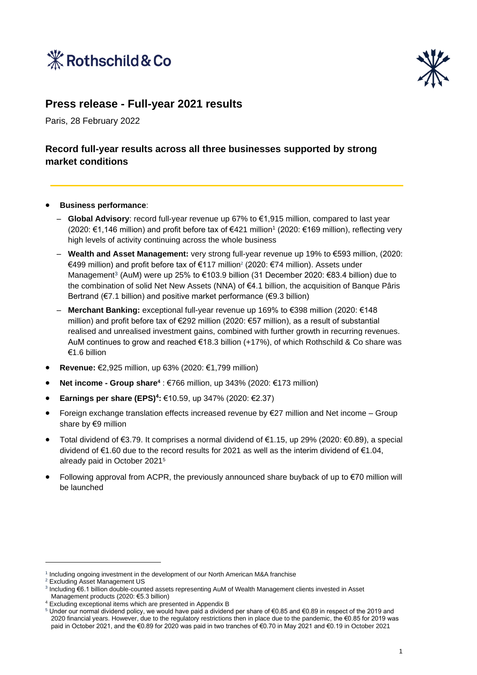



### **Press release - Full-year 2021 results**

Paris, 28 February 2022

### **Record full-year results across all three businesses supported by strong market conditions**

- **Business performance**:
	- **Global Advisory**: record full-year revenue up 67% to €1,915 million, compared to last year (2020: €1,146 million) and profit before tax of €421 million<sup>1</sup> (2020: €169 million), reflecting very high levels of activity continuing across the whole business
	- **Wealth and Asset Management:** very strong full-year revenue up 19% to €593 million, (2020: €499 million) and profit before tax of €117 million<sup>2</sup> (2020: €74 million). Assets under Management<sup>3</sup> (AuM) were up 25% to €103.9 billion (31 December 2020: €83.4 billion) due to the combination of solid Net New Assets (NNA) of €4.1 billion, the acquisition of Banque Pâris Bertrand (€7.1 billion) and positive market performance (€9.3 billion)
	- **Merchant Banking:** exceptional full-year revenue up 169% to €398 million (2020: €148 million) and profit before tax of €292 million (2020: €57 million), as a result of substantial realised and unrealised investment gains, combined with further growth in recurring revenues. AuM continues to grow and reached €18.3 billion (+17%), of which Rothschild & Co share was €1.6 billion
- **Revenue:** €2,925 million, up 63% (2020: €1,799 million)
- **Net income - Group share<sup>4</sup>** : €766 million, up 343% (2020: €173 million)
- **Earnings per share (EPS)<sup>4</sup> :** €10.59, up 347% (2020: €2.37)
- Foreign exchange translation effects increased revenue by €27 million and Net income Group share by €9 million
- Total dividend of €3.79. It comprises a normal dividend of €1.15, up 29% (2020: €0.89), a special dividend of €1.60 due to the record results for 2021 as well as the interim dividend of €1.04, already paid in October 2021<sup>5</sup>
- Following approval from ACPR, the previously announced share buyback of up to  $\epsilon$ 70 million will be launched

<sup>1</sup> Including ongoing investment in the development of our North American M&A franchise

<sup>2</sup> Excluding Asset Management US

<sup>3</sup> Including €6.1 billion double-counted assets representing AuM of Wealth Management clients invested in Asset Management products (2020: €5.3 billion)

<sup>4</sup> Excluding exceptional items which are presented in Appendix B

<sup>5</sup> Under our normal dividend policy, we would have paid a dividend per share of €0.85 and €0.89 in respect of the 2019 and 2020 financial years. However, due to the regulatory restrictions then in place due to the pandemic, the €0.85 for 2019 was paid in October 2021, and the €0.89 for 2020 was paid in two tranches of €0.70 in May 2021 and €0.19 in October 2021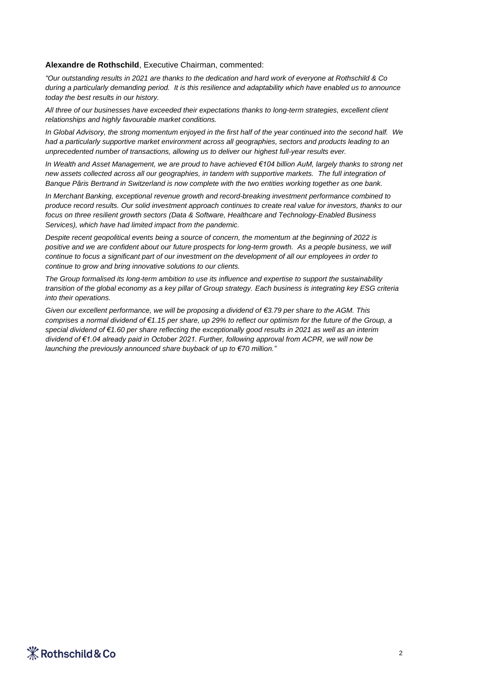#### **Alexandre de Rothschild**, Executive Chairman, commented:

*"Our outstanding results in 2021 are thanks to the dedication and hard work of everyone at Rothschild & Co during a particularly demanding period. It is this resilience and adaptability which have enabled us to announce today the best results in our history.* 

*All three of our businesses have exceeded their expectations thanks to long-term strategies, excellent client relationships and highly favourable market conditions.* 

*In Global Advisory, the strong momentum enjoyed in the first half of the year continued into the second half. We had a particularly supportive market environment across all geographies, sectors and products leading to an unprecedented number of transactions, allowing us to deliver our highest full-year results ever.* 

*In Wealth and Asset Management, we are proud to have achieved €104 billion AuM, largely thanks to strong net new assets collected across all our geographies, in tandem with supportive markets. The full integration of Banque Pâris Bertrand in Switzerland is now complete with the two entities working together as one bank.*

*In Merchant Banking, exceptional revenue growth and record-breaking investment performance combined to produce record results. Our solid investment approach continues to create real value for investors, thanks to our focus on three resilient growth sectors (Data & Software, Healthcare and Technology-Enabled Business Services), which have had limited impact from the pandemic.* 

*Despite recent geopolitical events being a source of concern, the momentum at the beginning of 2022 is positive and we are confident about our future prospects for long-term growth. As a people business, we will continue to focus a significant part of our investment on the development of all our employees in order to continue to grow and bring innovative solutions to our clients.*

*The Group formalised its long-term ambition to use its influence and expertise to support the sustainability transition of the global economy as a key pillar of Group strategy. Each business is integrating key ESG criteria into their operations.*

*Given our excellent performance, we will be proposing a dividend of €3.79 per share to the AGM. This comprises a normal dividend of €1.15 per share, up 29% to reflect our optimism for the future of the Group, a special dividend of €1.60 per share reflecting the exceptionally good results in 2021 as well as an interim dividend of €1.04 already paid in October 2021. Further, following approval from ACPR, we will now be launching the previously announced share buyback of up to €70 million."*

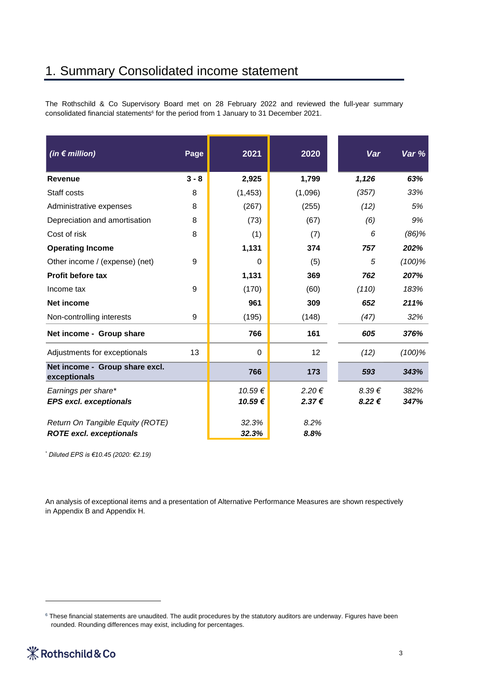# 1. Summary Consolidated income statement

The Rothschild & Co Supervisory Board met on 28 February 2022 and reviewed the full-year summary consolidated financial statements<sup>6</sup> for the period from 1 January to 31 December 2021.

| (in $\notin$ million)                                              | Page    | 2021           | 2020         | Var        | Var %     |
|--------------------------------------------------------------------|---------|----------------|--------------|------------|-----------|
| <b>Revenue</b>                                                     | $3 - 8$ | 2,925          | 1,799        | 1,126      | 63%       |
| Staff costs                                                        | 8       | (1, 453)       | (1,096)      | (357)      | 33%       |
| Administrative expenses                                            | 8       | (267)          | (255)        | (12)       | 5%        |
| Depreciation and amortisation                                      | 8       | (73)           | (67)         | (6)        | 9%        |
| Cost of risk                                                       | 8       | (1)            | (7)          | 6          | $(86)$ %  |
| <b>Operating Income</b>                                            |         | 1,131          | 374          | 757        | 202%      |
| Other income / (expense) (net)                                     | 9       | $\Omega$       | (5)          | 5          | $(100)\%$ |
| <b>Profit before tax</b>                                           |         | 1,131          | 369          | 762        | 207%      |
| Income tax                                                         | 9       | (170)          | (60)         | (110)      | 183%      |
| <b>Net income</b>                                                  |         | 961            | 309          | 652        | 211%      |
| Non-controlling interests                                          | 9       | (195)          | (148)        | (47)       | 32%       |
| Net income - Group share                                           |         | 766            | 161          | 605        | 376%      |
| Adjustments for exceptionals                                       | 13      | 0              | 12           | (12)       | $(100)\%$ |
| Net income - Group share excl.<br>exceptionals                     |         | 766            | 173          | 593        | 343%      |
| Earnings per share*                                                |         | 10.59€         | 2.20€        | $8.39 \in$ | 382%      |
| <b>EPS excl. exceptionals</b>                                      |         | 10.59€         | 2.37€        | 8.22€      | 347%      |
| Return On Tangible Equity (ROTE)<br><b>ROTE excl. exceptionals</b> |         | 32.3%<br>32.3% | 8.2%<br>8.8% |            |           |

*\* Diluted EPS is €10.45 (2020: €2.19)*

An analysis of exceptional items and a presentation of Alternative Performance Measures are shown respectively in Appendix B and Appendix H.

<sup>&</sup>lt;sup>6</sup> These financial statements are unaudited. The audit procedures by the statutory auditors are underway. Figures have been rounded. Rounding differences may exist, including for percentages.

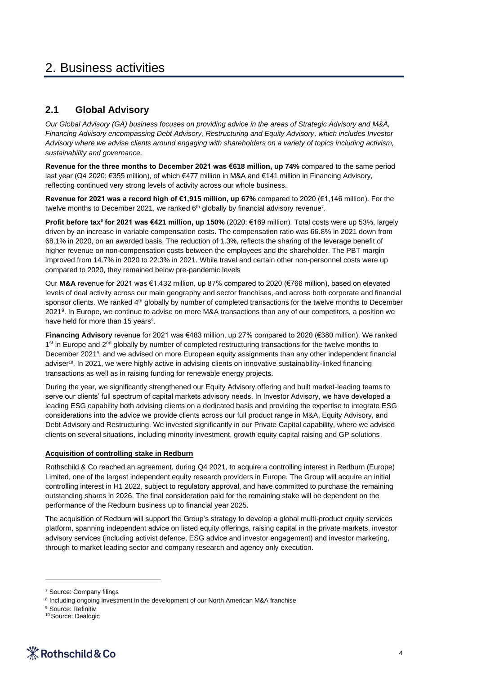# 2. Business activities

### **2.1 Global Advisory**

*Our Global Advisory (GA) business focuses on providing advice in the areas of Strategic Advisory and M&A, Financing Advisory encompassing Debt Advisory, Restructuring and Equity Advisory, which includes Investor Advisory where we advise clients around engaging with shareholders on a variety of topics including activism, sustainability and governance.* 

**Revenue for the three months to December 2021 was €618 million, up 74%** compared to the same period last year (Q4 2020: €355 million), of which €477 million in M&A and €141 million in Financing Advisory, reflecting continued very strong levels of activity across our whole business.

**Revenue for 2021 was a record high of €1,915 million, up 67%** compared to 2020 (€1,146 million). For the twelve months to December 2021, we ranked  $6<sup>th</sup>$  globally by financial advisory revenue<sup>7</sup>.

**Profit before tax<sup>8</sup> for 2021 was €421 million, up 150%** (2020: €169 million). Total costs were up 53%, largely driven by an increase in variable compensation costs. The compensation ratio was 66.8% in 2021 down from 68.1% in 2020, on an awarded basis. The reduction of 1.3%, reflects the sharing of the leverage benefit of higher revenue on non-compensation costs between the employees and the shareholder. The PBT margin improved from 14.7% in 2020 to 22.3% in 2021. While travel and certain other non-personnel costs were up compared to 2020, they remained below pre-pandemic levels

Our **M&A** revenue for 2021 was €1,432 million, up 87% compared to 2020 (€766 million), based on elevated levels of deal activity across our main geography and sector franchises, and across both corporate and financial sponsor clients. We ranked 4<sup>th</sup> globally by number of completed transactions for the twelve months to December 2021<sup>9</sup> . In Europe, we continue to advise on more M&A transactions than any of our competitors, a position we have held for more than 15 years<sup>9</sup>.

**Financing Advisory** revenue for 2021 was €483 million, up 27% compared to 2020 (€380 million). We ranked 1<sup>st</sup> in Europe and 2<sup>nd</sup> globally by number of completed restructuring transactions for the twelve months to December 2021<sup>9</sup>, and we advised on more European equity assignments than any other independent financial adviser<sup>10</sup>. In 2021, we were highly active in advising clients on innovative sustainability-linked financing transactions as well as in raising funding for renewable energy projects.

During the year, we significantly strengthened our Equity Advisory offering and built market-leading teams to serve our clients' full spectrum of capital markets advisory needs. In Investor Advisory, we have developed a leading ESG capability both advising clients on a dedicated basis and providing the expertise to integrate ESG considerations into the advice we provide clients across our full product range in M&A, Equity Advisory, and Debt Advisory and Restructuring. We invested significantly in our Private Capital capability, where we advised clients on several situations, including minority investment, growth equity capital raising and GP solutions.

#### **Acquisition of controlling stake in Redburn**

Rothschild & Co reached an agreement, during Q4 2021, to acquire a controlling interest in Redburn (Europe) Limited, one of the largest independent equity research providers in Europe. The Group will acquire an initial controlling interest in H1 2022, subject to regulatory approval, and have committed to purchase the remaining outstanding shares in 2026. The final consideration paid for the remaining stake will be dependent on the performance of the Redburn business up to financial year 2025.

The acquisition of Redburn will support the Group's strategy to develop a global multi-product equity services platform, spanning independent advice on listed equity offerings, raising capital in the private markets, investor advisory services (including activist defence, ESG advice and investor engagement) and investor marketing, through to market leading sector and company research and agency only execution.

<sup>&</sup>lt;sup>10</sup> Source: Dealogic



<sup>7</sup> Source: Company filings

<sup>&</sup>lt;sup>8</sup> Including ongoing investment in the development of our North American M&A franchise

<sup>&</sup>lt;sup>9</sup> Source: Refinitiv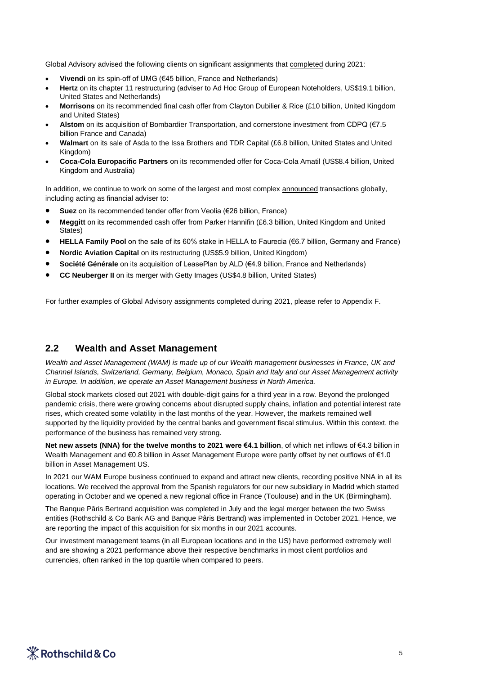Global Advisory advised the following clients on significant assignments that completed during 2021:

- **Vivendi** on its spin-off of UMG (€45 billion, France and Netherlands)
- **Hertz** on its chapter 11 restructuring (adviser to Ad Hoc Group of European Noteholders, US\$19.1 billion, United States and Netherlands)
- **Morrisons** on its recommended final cash offer from Clayton Dubilier & Rice (£10 billion, United Kingdom and United States)
- **Alstom** on its acquisition of Bombardier Transportation, and cornerstone investment from CDPQ (€7.5 billion France and Canada)
- **Walmart** on its sale of Asda to the Issa Brothers and TDR Capital (£6.8 billion, United States and United Kingdom)
- **Coca-Cola Europacific Partners** on its recommended offer for Coca-Cola Amatil (US\$8.4 billion, United Kingdom and Australia)

In addition, we continue to work on some of the largest and most complex announced transactions globally, including acting as financial adviser to:

- **Suez** on its recommended tender offer from Veolia (€26 billion, France)
- **Meggitt** on its recommended cash offer from Parker Hannifin (£6.3 billion, United Kingdom and United States)
- **HELLA Family Pool** on the sale of its 60% stake in HELLA to Faurecia (€6.7 billion, Germany and France)
- **Nordic Aviation Capital** on its restructuring (US\$5.9 billion, United Kingdom)
- **Société Générale** on its acquisition of LeasePlan by ALD (€4.9 billion, France and Netherlands)
- **CC Neuberger II** on its merger with Getty Images (US\$4.8 billion, United States)

For further examples of Global Advisory assignments completed during 2021, please refer to Appendix F.

#### **2.2 Wealth and Asset Management**

*Wealth and Asset Management (WAM) is made up of our Wealth management businesses in France, UK and Channel Islands, Switzerland, Germany, Belgium, Monaco, Spain and Italy and our Asset Management activity in Europe. In addition, we operate an Asset Management business in North America.* 

Global stock markets closed out 2021 with double-digit gains for a third year in a row. Beyond the prolonged pandemic crisis, there were growing concerns about disrupted supply chains, inflation and potential interest rate rises, which created some volatility in the last months of the year. However, the markets remained well supported by the liquidity provided by the central banks and government fiscal stimulus. Within this context, the performance of the business has remained very strong.

**Net new assets (NNA) for the twelve months to 2021 were €4.1 billion**, of which net inflows of €4.3 billion in Wealth Management and €0.8 billion in Asset Management Europe were partly offset by net outflows of €1.0 billion in Asset Management US.

In 2021 our WAM Europe business continued to expand and attract new clients, recording positive NNA in all its locations. We received the approval from the Spanish regulators for our new subsidiary in Madrid which started operating in October and we opened a new regional office in France (Toulouse) and in the UK (Birmingham).

The Banque Pâris Bertrand acquisition was completed in July and the legal merger between the two Swiss entities (Rothschild & Co Bank AG and Banque Pâris Bertrand) was implemented in October 2021. Hence, we are reporting the impact of this acquisition for six months in our 2021 accounts.

Our investment management teams (in all European locations and in the US) have performed extremely well and are showing a 2021 performance above their respective benchmarks in most client portfolios and currencies, often ranked in the top quartile when compared to peers.

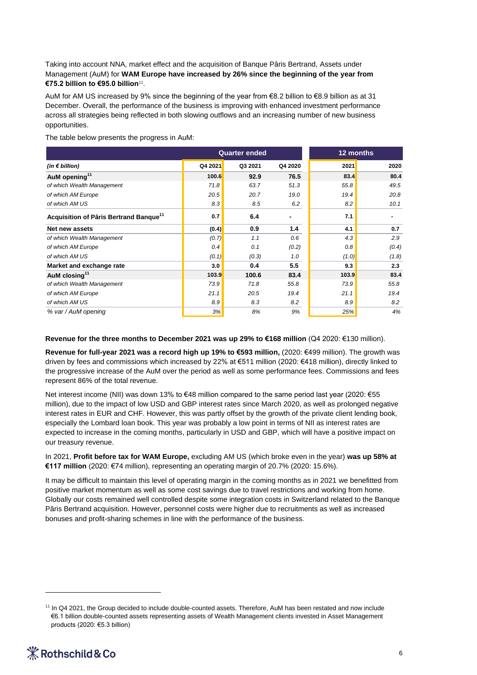Taking into account NNA, market effect and the acquisition of Banque Pâris Bertrand, Assets under Management (AuM) for **WAM Europe have increased by 26% since the beginning of the year from €75.2 billion to €95.0 billion**<sup>11</sup> .

AuM for AM US increased by 9% since the beginning of the year from €8.2 billion to €8.9 billion as at 31 December. Overall, the performance of the business is improving with enhanced investment performance across all strategies being reflected in both slowing outflows and an increasing number of new business opportunities.

The table below presents the progress in AuM:

|                                                                                                                                                                                                                                                                                                                                                                                                                                                                                                                                                                                                                                                                                                                                                                                                                                                                    | 12 months |         |         |       |       |  |  |
|--------------------------------------------------------------------------------------------------------------------------------------------------------------------------------------------------------------------------------------------------------------------------------------------------------------------------------------------------------------------------------------------------------------------------------------------------------------------------------------------------------------------------------------------------------------------------------------------------------------------------------------------------------------------------------------------------------------------------------------------------------------------------------------------------------------------------------------------------------------------|-----------|---------|---------|-------|-------|--|--|
| (in $\notin$ billion)                                                                                                                                                                                                                                                                                                                                                                                                                                                                                                                                                                                                                                                                                                                                                                                                                                              | Q4 2021   | Q3 2021 | Q4 2020 | 2021  | 2020  |  |  |
| AuM opening <sup>11</sup>                                                                                                                                                                                                                                                                                                                                                                                                                                                                                                                                                                                                                                                                                                                                                                                                                                          | 100.6     | 92.9    | 76.5    | 83.4  | 80.4  |  |  |
| of which Wealth Management                                                                                                                                                                                                                                                                                                                                                                                                                                                                                                                                                                                                                                                                                                                                                                                                                                         | 71.8      | 63.7    | 51.3    | 55.8  | 49.5  |  |  |
| of which AM Europe                                                                                                                                                                                                                                                                                                                                                                                                                                                                                                                                                                                                                                                                                                                                                                                                                                                 | 20.5      | 20.7    | 19.0    | 19.4  | 20.8  |  |  |
| of which AM US                                                                                                                                                                                                                                                                                                                                                                                                                                                                                                                                                                                                                                                                                                                                                                                                                                                     | 8.3       | 8.5     | 6.2     | 8.2   | 10.1  |  |  |
| Acquisition of Pâris Bertrand Banque <sup>11</sup>                                                                                                                                                                                                                                                                                                                                                                                                                                                                                                                                                                                                                                                                                                                                                                                                                 | 0.7       | 6.4     | -       | 7.1   | ٠     |  |  |
| Net new assets                                                                                                                                                                                                                                                                                                                                                                                                                                                                                                                                                                                                                                                                                                                                                                                                                                                     | (0.4)     | 0.9     | 1.4     | 4.1   | 0.7   |  |  |
| of which Wealth Management                                                                                                                                                                                                                                                                                                                                                                                                                                                                                                                                                                                                                                                                                                                                                                                                                                         | (0.7)     | 1.1     | 0.6     | 4.3   | 2.9   |  |  |
| of which AM Europe                                                                                                                                                                                                                                                                                                                                                                                                                                                                                                                                                                                                                                                                                                                                                                                                                                                 | 0.4       | 0.1     | (0.2)   | 0.8   | (0.4) |  |  |
| of which AM US                                                                                                                                                                                                                                                                                                                                                                                                                                                                                                                                                                                                                                                                                                                                                                                                                                                     | (0.1)     | (0.3)   | 1.0     | (1.0) | (1.8) |  |  |
| Market and exchange rate                                                                                                                                                                                                                                                                                                                                                                                                                                                                                                                                                                                                                                                                                                                                                                                                                                           | 3.0       | 0.4     | 5.5     | 9.3   | 2.3   |  |  |
| AuM closing <sup>11</sup>                                                                                                                                                                                                                                                                                                                                                                                                                                                                                                                                                                                                                                                                                                                                                                                                                                          | 103.9     | 100.6   | 83.4    | 103.9 | 83.4  |  |  |
| of which Wealth Management                                                                                                                                                                                                                                                                                                                                                                                                                                                                                                                                                                                                                                                                                                                                                                                                                                         | 73.9      | 71.8    | 55.8    | 73.9  | 55.8  |  |  |
| of which AM Europe                                                                                                                                                                                                                                                                                                                                                                                                                                                                                                                                                                                                                                                                                                                                                                                                                                                 | 21.1      | 20.5    | 19.4    | 21.1  | 19.4  |  |  |
| of which AM US                                                                                                                                                                                                                                                                                                                                                                                                                                                                                                                                                                                                                                                                                                                                                                                                                                                     | 8.9       | 8.3     | 8.2     | 8.9   | 8.2   |  |  |
| % var / AuM opening                                                                                                                                                                                                                                                                                                                                                                                                                                                                                                                                                                                                                                                                                                                                                                                                                                                | 3%        | 8%      | 9%      | 25%   | 4%    |  |  |
| the progressive increase of the AuM over the period as well as some performance fees. Commissions and fees<br>represent 86% of the total revenue.<br>Net interest income (NII) was down 13% to €48 million compared to the same period last year (2020: €55<br>million), due to the impact of low USD and GBP interest rates since March 2020, as well as prolonged negative<br>interest rates in EUR and CHF. However, this was partly offset by the growth of the private client lending book,<br>especially the Lombard loan book. This year was probably a low point in terms of NII as interest rates are<br>expected to increase in the coming months, particularly in USD and GBP, which will have a positive impact on<br>our treasury revenue.<br>In 2021, Profit before tax for WAM Europe, excluding AM US (which broke even in the year) was up 58% at |           |         |         |       |       |  |  |
| €117 million (2020: €74 million), representing an operating margin of 20.7% (2020: 15.6%).<br>It may be difficult to maintain this level of operating margin in the coming months as in 2021 we benefitted from<br>positive market momentum as well as some cost savings due to travel restrictions and working from home.<br>Globally our costs remained well controlled despite some integration costs in Switzerland related to the Banque<br>Pâris Bertrand acquisition. However, personnel costs were higher due to recruitments as well as increased<br>bonuses and profit-sharing schemes in line with the performance of the business.                                                                                                                                                                                                                     |           |         |         |       |       |  |  |
| $11$ In Q4 2021, the Group decided to include double-counted assets. Therefore, AuM has been restated and now include<br>€6.1 billion double-counted assets representing assets of Wealth Management clients invested in Asset Management<br>products (2020: €5.3 billion)                                                                                                                                                                                                                                                                                                                                                                                                                                                                                                                                                                                         |           |         |         |       |       |  |  |

<sup>11</sup> In Q4 2021, the Group decided to include double-counted assets. Therefore, AuM has been restated and now include €6.1 billion double-counted assets representing assets of Wealth Management clients invested in Asset Management

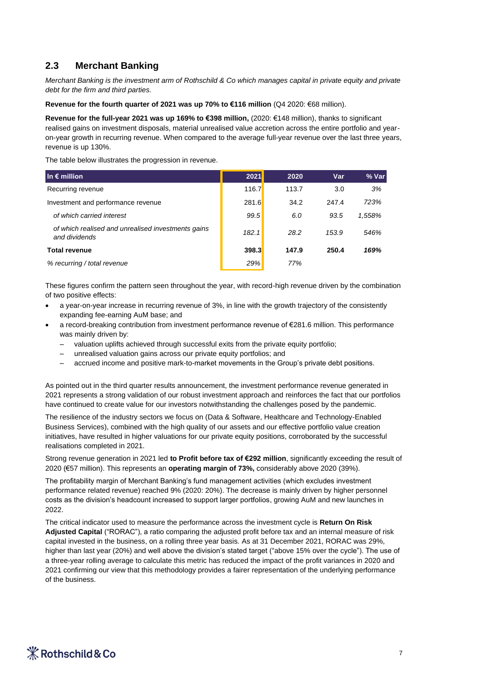### **2.3 Merchant Banking**

*Merchant Banking is the investment arm of Rothschild & Co which manages capital in private equity and private debt for the firm and third parties.*

**Revenue for the fourth quarter of 2021 was up 70% to €116 million** (Q4 2020: €68 million).

**Revenue for the full-year 2021 was up 169% to €398 million,** (2020: €148 million), thanks to significant realised gains on investment disposals, material unrealised value accretion across the entire portfolio and yearon-year growth in recurring revenue. When compared to the average full-year revenue over the last three years, revenue is up 130%.

The table below illustrates the progression in revenue.

| In $\epsilon$ million                                               | 2021         | 2020  | Var   | % Var  |
|---------------------------------------------------------------------|--------------|-------|-------|--------|
| Recurring revenue                                                   | 116.7        | 113.7 | 3.0   | 3%     |
| Investment and performance revenue                                  | <b>281.6</b> | 34.2  | 247.4 | 723%   |
| of which carried interest                                           | 99.5         | 6.0   | 93.5  | 1,558% |
| of which realised and unrealised investments gains<br>and dividends | 182.1        | 28.2  | 153.9 | 546%   |
| <b>Total revenue</b>                                                | 398.3        | 147.9 | 250.4 | 169%   |
| % recurring / total revenue                                         | 29%          | 77%   |       |        |

These figures confirm the pattern seen throughout the year, with record-high revenue driven by the combination of two positive effects:

- a year-on-year increase in recurring revenue of 3%, in line with the growth trajectory of the consistently expanding fee-earning AuM base; and
- a record-breaking contribution from investment performance revenue of €281.6 million. This performance was mainly driven by:
	- valuation uplifts achieved through successful exits from the private equity portfolio;
	- unrealised valuation gains across our private equity portfolios; and
	- accrued income and positive mark-to-market movements in the Group's private debt positions.

As pointed out in the third quarter results announcement, the investment performance revenue generated in 2021 represents a strong validation of our robust investment approach and reinforces the fact that our portfolios have continued to create value for our investors notwithstanding the challenges posed by the pandemic.

The resilience of the industry sectors we focus on (Data & Software, Healthcare and Technology-Enabled Business Services), combined with the high quality of our assets and our effective portfolio value creation initiatives, have resulted in higher valuations for our private equity positions, corroborated by the successful realisations completed in 2021.

Strong revenue generation in 2021 led **to Profit before tax of €292 million**, significantly exceeding the result of 2020 (€57 million). This represents an **operating margin of 73%,** considerably above 2020 (39%).

The profitability margin of Merchant Banking's fund management activities (which excludes investment performance related revenue) reached 9% (2020: 20%). The decrease is mainly driven by higher personnel costs as the division's headcount increased to support larger portfolios, growing AuM and new launches in 2022.

The critical indicator used to measure the performance across the investment cycle is **Return On Risk Adjusted Capital** ("RORAC"), a ratio comparing the adjusted profit before tax and an internal measure of risk capital invested in the business, on a rolling three year basis. As at 31 December 2021, RORAC was 29%, higher than last year (20%) and well above the division's stated target ("above 15% over the cycle"). The use of a three-year rolling average to calculate this metric has reduced the impact of the profit variances in 2020 and 2021 confirming our view that this methodology provides a fairer representation of the underlying performance of the business.

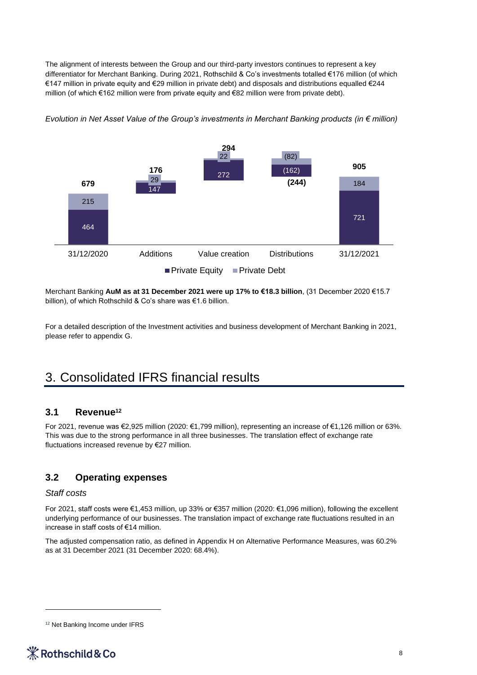The alignment of interests between the Group and our third-party investors continues to represent a key differentiator for Merchant Banking. During 2021, Rothschild & Co's investments totalled €176 million (of which €147 million in private equity and €29 million in private debt) and disposals and distributions equalled €244 million (of which €162 million were from private equity and €82 million were from private debt).



*Evolution in Net Asset Value of the Group's investments in Merchant Banking products (in € million)* 

Merchant Banking **AuM as at 31 December 2021 were up 17% to €18.3 billion**, (31 December 2020 €15.7 billion), of which Rothschild & Co's share was €1.6 billion.

For a detailed description of the Investment activities and business development of Merchant Banking in 2021, please refer to appendix G.

# 3. Consolidated IFRS financial results

#### **3.1 Revenue<sup>12</sup>**

For 2021, revenue was €2,925 million (2020: €1,799 million), representing an increase of €1,126 million or 63%. This was due to the strong performance in all three businesses. The translation effect of exchange rate fluctuations increased revenue by €27 million.

### **3.2 Operating expenses**

#### *Staff costs*

For 2021, staff costs were €1,453 million, up 33% or €357 million (2020: €1,096 million), following the excellent underlying performance of our businesses. The translation impact of exchange rate fluctuations resulted in an increase in staff costs of €14 million.

The adjusted compensation ratio, as defined in Appendix H on Alternative Performance Measures, was 60.2% as at 31 December 2021 (31 December 2020: 68.4%).

<sup>&</sup>lt;sup>12</sup> Net Banking Income under IFRS

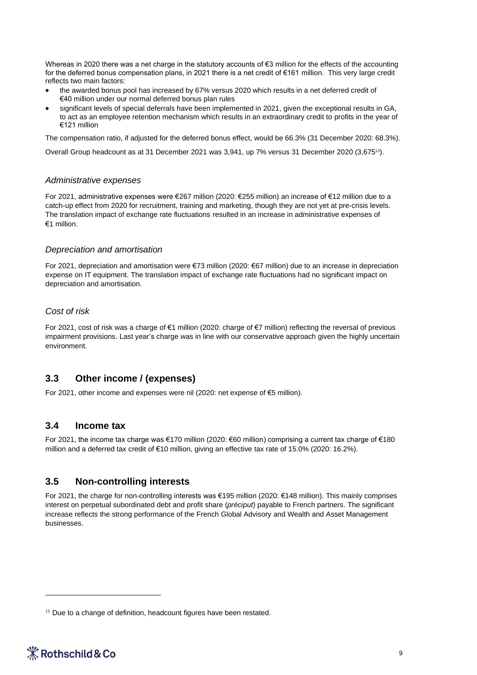Whereas in 2020 there was a net charge in the statutory accounts of  $\epsilon$ 3 million for the effects of the accounting for the deferred bonus compensation plans, in 2021 there is a net credit of €161 million. This very large credit reflects two main factors:

- the awarded bonus pool has increased by 67% versus 2020 which results in a net deferred credit of €40 million under our normal deferred bonus plan rules
- significant levels of special deferrals have been implemented in 2021, given the exceptional results in GA, to act as an employee retention mechanism which results in an extraordinary credit to profits in the year of €121 million

The compensation ratio, if adjusted for the deferred bonus effect, would be 66.3% (31 December 2020: 68.3%).

Overall Group headcount as at 31 December 2021 was 3,941, up 7% versus 31 December 2020 (3,675<sup>13</sup>).

#### *Administrative expenses*

For 2021, administrative expenses were €267 million (2020: €255 million) an increase of €12 million due to a catch-up effect from 2020 for recruitment, training and marketing, though they are not yet at pre-crisis levels. The translation impact of exchange rate fluctuations resulted in an increase in administrative expenses of €1 million.

#### *Depreciation and amortisation*

For 2021, depreciation and amortisation were €73 million (2020: €67 million) due to an increase in depreciation expense on IT equipment. The translation impact of exchange rate fluctuations had no significant impact on depreciation and amortisation.

#### *Cost of risk*

For 2021, cost of risk was a charge of €1 million (2020: charge of €7 million) reflecting the reversal of previous impairment provisions. Last year's charge was in line with our conservative approach given the highly uncertain environment.

### **3.3 Other income / (expenses)**

For 2021, other income and expenses were nil (2020: net expense of €5 million).

#### **3.4 Income tax**

For 2021, the income tax charge was €170 million (2020: €60 million) comprising a current tax charge of €180 million and a deferred tax credit of €10 million, giving an effective tax rate of 15.0% (2020: 16.2%).

#### **3.5 Non-controlling interests**

For 2021, the charge for non-controlling interests was €195 million (2020: €148 million). This mainly comprises interest on perpetual subordinated debt and profit share (*préciput*) payable to French partners. The significant increase reflects the strong performance of the French Global Advisory and Wealth and Asset Management businesses.

<sup>&</sup>lt;sup>13</sup> Due to a change of definition, headcount figures have been restated.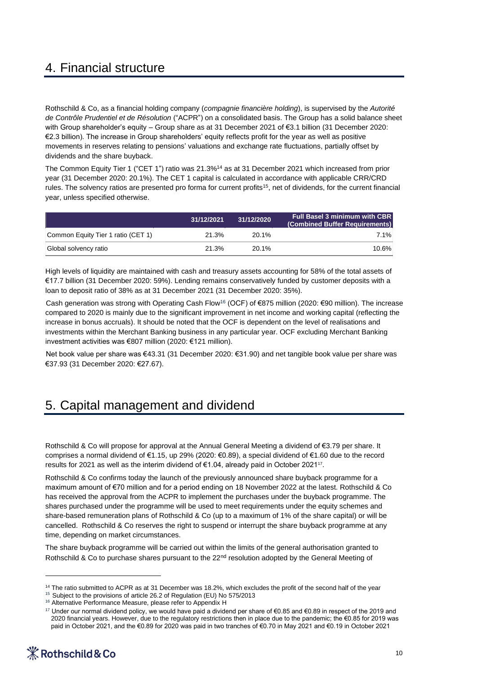# 4. Financial structure

Rothschild & Co, as a financial holding company (*compagnie financière holding*), is supervised by the *Autorité de Contrôle Prudentiel et de Résolution* ("ACPR") on a consolidated basis. The Group has a solid balance sheet with Group shareholder's equity – Group share as at 31 December 2021 of €3.1 billion (31 December 2020: €2.3 billion). The increase in Group shareholders' equity reflects profit for the year as well as positive movements in reserves relating to pensions' valuations and exchange rate fluctuations, partially offset by dividends and the share buyback.

The Common Equity Tier 1 ("CET 1") ratio was 21.3%<sup>14</sup> as at 31 December 2021 which increased from prior year (31 December 2020: 20.1%). The CET 1 capital is calculated in accordance with applicable CRR/CRD rules. The solvency ratios are presented pro forma for current profits<sup>15</sup>, net of dividends, for the current financial year, unless specified otherwise.

|                                    | 31/12/2021 | 31/12/2020 | <b>Full Basel 3 minimum with CBR</b><br>(Combined Buffer Requirements) |
|------------------------------------|------------|------------|------------------------------------------------------------------------|
| Common Equity Tier 1 ratio (CET 1) | 21.3%      | $20.1\%$   | 7.1%                                                                   |
| Global solvency ratio              | 21.3%      | $20.1\%$   | $10.6\%$                                                               |

High levels of liquidity are maintained with cash and treasury assets accounting for 58% of the total assets of €17.7 billion (31 December 2020: 59%). Lending remains conservatively funded by customer deposits with a loan to deposit ratio of 38% as at 31 December 2021 (31 December 2020: 35%).

Cash generation was strong with Operating Cash Flow<sup>16</sup> (OCF) of €875 million (2020: €90 million). The increase compared to 2020 is mainly due to the significant improvement in net income and working capital (reflecting the increase in bonus accruals). It should be noted that the OCF is dependent on the level of realisations and investments within the Merchant Banking business in any particular year. OCF excluding Merchant Banking investment activities was €807 million (2020: €121 million).

Net book value per share was €43.31 (31 December 2020: €31.90) and net tangible book value per share was €37.93 (31 December 2020: €27.67).

# 5. Capital management and dividend

Rothschild & Co will propose for approval at the Annual General Meeting a dividend of €3.79 per share. It comprises a normal dividend of €1.15, up 29% (2020: €0.89), a special dividend of €1.60 due to the record results for 2021 as well as the interim dividend of €1.04, already paid in October 2021<sup>17</sup>.

Rothschild & Co confirms today the launch of the previously announced share buyback programme for a maximum amount of €70 million and for a period ending on 18 November 2022 at the latest. Rothschild & Co has received the approval from the ACPR to implement the purchases under the buyback programme. The shares purchased under the programme will be used to meet requirements under the equity schemes and share-based remuneration plans of Rothschild & Co (up to a maximum of 1% of the share capital) or will be cancelled. Rothschild & Co reserves the right to suspend or interrupt the share buyback programme at any time, depending on market circumstances. pain monito Equivarian transformation (EET1) 31/12/2021<br>
2.3% 2021% 2.3% 2.2.3% 2.2.3% 2.2.3% 2.2.3% 2.2.3% 2.2.3% 2.2.3% 2.2.3% 2.2.1% 2.2.3% 2.2.1% 2.2.3% 2.2.1% 2.2.1% 2.2.1% 2.2.1% 2.2.1% 2.2.1% 2.2.1% 2.2.1% 2.2.1%

The share buyback programme will be carried out within the limits of the general authorisation granted to Rothschild & Co to purchase shares pursuant to the 22<sup>nd</sup> resolution adopted by the General Meeting of

<sup>17</sup> Under our normal dividend policy, we would have paid a dividend per share of €0.85 and €0.89 in respect of the 2019 and 2020 financial years. However, due to the regulatory restrictions then in place due to the pandemic; the €0.85 for 2019 was<br>paid in October 2021, and the €0.89 for 2020 was paid in two tranches of €0.70 in May 2021 and €0



<sup>&</sup>lt;sup>14</sup> The ratio submitted to ACPR as at 31 December was 18.2%, which excludes the profit of the second half of the year

<sup>15</sup> Subject to the provisions of article 26.2 of Regulation (EU) No 575/2013

<sup>&</sup>lt;sup>16</sup> Alternative Performance Measure, please refer to Appendix H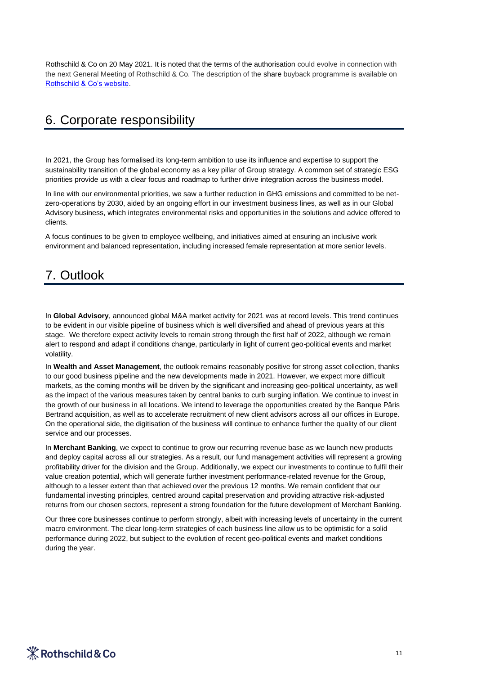Rothschild & Co on 20 May 2021. It is noted that the terms of the authorisation could evolve in connection with the next General Meeting of Rothschild & Co. The description of the share buyback programme is available on [Rothschild & Co's website.](https://www.rothschildandco.com/siteassets/publications/rothschild_and_co/2021/description_share_buyback_programs/en_randco_2021_description_of_the_share_buyback_programme_20210519.pdf)

## 6. Corporate responsibility

In 2021, the Group has formalised its long-term ambition to use its influence and expertise to support the sustainability transition of the global economy as a key pillar of Group strategy. A common set of strategic ESG priorities provide us with a clear focus and roadmap to further drive integration across the business model.

In line with our environmental priorities, we saw a further reduction in GHG emissions and committed to be netzero-operations by 2030, aided by an ongoing effort in our investment business lines, as well as in our Global Advisory business, which integrates environmental risks and opportunities in the solutions and advice offered to clients.

A focus continues to be given to employee wellbeing, and initiatives aimed at ensuring an inclusive work environment and balanced representation, including increased female representation at more senior levels.

### 7. Outlook

In **Global Advisory**, announced global M&A market activity for 2021 was at record levels. This trend continues to be evident in our visible pipeline of business which is well diversified and ahead of previous years at this stage. We therefore expect activity levels to remain strong through the first half of 2022, although we remain alert to respond and adapt if conditions change, particularly in light of current geo-political events and market volatility.

In **Wealth and Asset Management**, the outlook remains reasonably positive for strong asset collection, thanks to our good business pipeline and the new developments made in 2021. However, we expect more difficult markets, as the coming months will be driven by the significant and increasing geo-political uncertainty, as well as the impact of the various measures taken by central banks to curb surging inflation. We continue to invest in the growth of our business in all locations. We intend to leverage the opportunities created by the Banque Pâris Bertrand acquisition, as well as to accelerate recruitment of new client advisors across all our offices in Europe. On the operational side, the digitisation of the business will continue to enhance further the quality of our client service and our processes.

In **Merchant Banking**, we expect to continue to grow our recurring revenue base as we launch new products and deploy capital across all our strategies. As a result, our fund management activities will represent a growing profitability driver for the division and the Group. Additionally, we expect our investments to continue to fulfil their value creation potential, which will generate further investment performance-related revenue for the Group, although to a lesser extent than that achieved over the previous 12 months. We remain confident that our fundamental investing principles, centred around capital preservation and providing attractive risk-adjusted returns from our chosen sectors, represent a strong foundation for the future development of Merchant Banking.

Our three core businesses continue to perform strongly, albeit with increasing levels of uncertainty in the current macro environment. The clear long-term strategies of each business line allow us to be optimistic for a solid performance during 2022, but subject to the evolution of recent geo-political events and market conditions during the year.

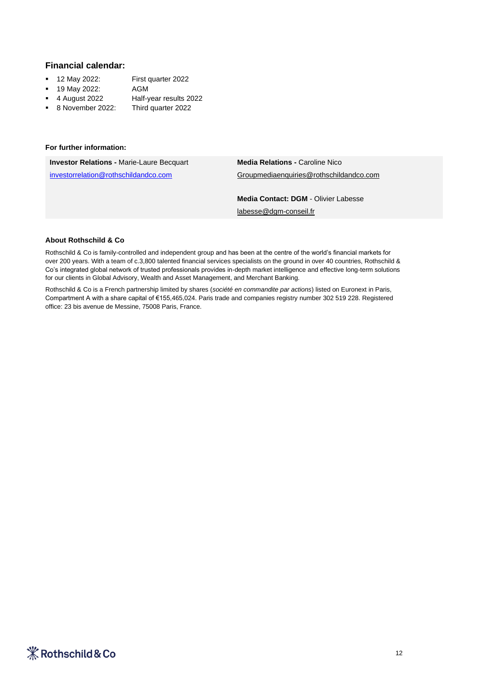#### **Financial calendar:**

- 12 May 2022: First quarter 2022
- 19 May 2022: AGM
- 4 August 2022 Half-year results 2022
- 8 November 2022: Third quarter 2022

#### **For further information:**

| <b>Investor Relations - Marie-Laure Becquart</b> | <b>Media Relations - Caroline Nico</b>      |
|--------------------------------------------------|---------------------------------------------|
| investorrelation@rothschildandco.com             | Groupmediaenquiries@rothschildandco.com     |
|                                                  |                                             |
|                                                  | <b>Media Contact: DGM - Olivier Labesse</b> |
|                                                  | labesse@dgm-conseil.fr                      |

#### **About Rothschild & Co**

Rothschild & Co is family-controlled and independent group and has been at the centre of the world's financial markets for over 200 years. With a team of c.3,800 talented financial services specialists on the ground in over 40 countries, Rothschild & Co's integrated global network of trusted professionals provides in-depth market intelligence and effective long-term solutions for our clients in Global Advisory, Wealth and Asset Management, and Merchant Banking.

Rothschild & Co is a French partnership limited by shares (*société en commandite par actions*) listed on Euronext in Paris, Compartment A with a share capital of €155,465,024. Paris trade and companies registry number 302 519 228. Registered office: 23 bis avenue de Messine, 75008 Paris, France.

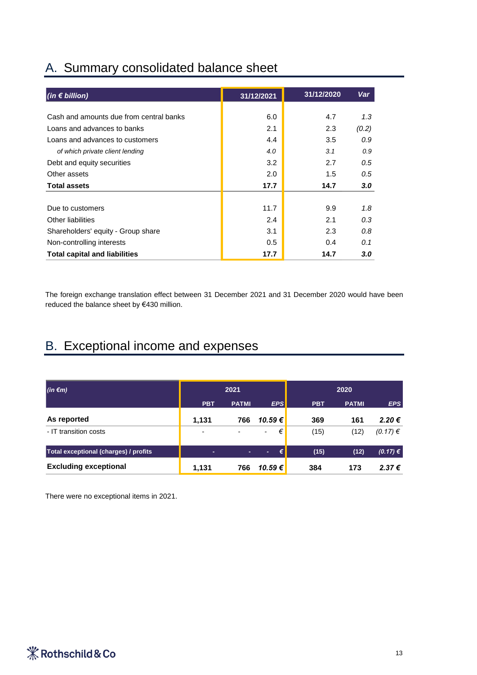| A. Summary consolidated balance sheet |  |
|---------------------------------------|--|
|---------------------------------------|--|

| $(in \in billion)$                      | 31/12/2021 | 31/12/2020 | Var              |
|-----------------------------------------|------------|------------|------------------|
|                                         |            |            |                  |
| Cash and amounts due from central banks | 6.0        | 4.7        | 1.3              |
| Loans and advances to banks             | 2.1        | 2.3        | (0.2)            |
| Loans and advances to customers         | 4.4        | 3.5        | 0.9              |
| of which private client lending         | 4.0        | 3.1        | 0.9              |
| Debt and equity securities              | 3.2        | 2.7        | 0.5              |
| Other assets                            | 2.0        | 1.5        | 0.5              |
| <b>Total assets</b>                     | 17.7       | 14.7       | 3.0 <sub>2</sub> |
|                                         |            |            |                  |
| Due to customers                        | 11.7       | 9.9        | 1.8              |
| Other liabilities                       | 2.4        | 2.1        | 0.3              |
| Shareholders' equity - Group share      | 3.1        | 2.3        | 0.8              |
| Non-controlling interests               | 0.5        | 0.4        | 0.1              |
| <b>Total capital and liabilities</b>    | 17.7       | 14.7       | 3.0              |

The foreign exchange translation effect between 31 December 2021 and 31 December 2020 would have been reduced the balance sheet by €430 million.

# B. Exceptional income and expenses

| $(in \in m)$                          | 2021       |                          |                               | 2020       |              |              |
|---------------------------------------|------------|--------------------------|-------------------------------|------------|--------------|--------------|
|                                       | <b>PBT</b> | <b>PATMI</b>             | <b>EPS</b>                    | <b>PBT</b> | <b>PATMI</b> | <b>EPS</b>   |
| As reported                           | 1.131      | 766                      | 10.59€                        | 369        | 161          | 2.20€        |
| - IT transition costs                 | ٠          | $\overline{\phantom{a}}$ | €<br>$\overline{\phantom{a}}$ | (15)       | (12)         | $(0.17) \in$ |
| Total exceptional (charges) / profits | ۰          | ٠                        | €<br>٠                        | (15)       | (12)         | (0.17) €     |
| <b>Excluding exceptional</b>          | 1,131      | 766                      | 10.59€                        | 384        | 173          | 2.37€        |

There were no exceptional items in 2021.

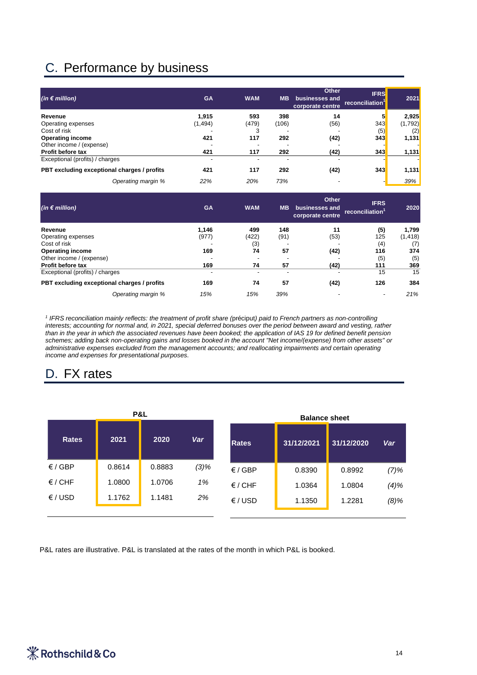# C. Performance by business

| (in € million)                              | <b>GA</b> | <b>WAM</b>               | <b>MB</b> | <b>Other</b><br>businesses and<br>corporate centre | <b>IFRS</b><br>reconciliation <sup>1</sup> | 2021    |
|---------------------------------------------|-----------|--------------------------|-----------|----------------------------------------------------|--------------------------------------------|---------|
| Revenue                                     | 1.915     | 593                      | 398       | 14                                                 |                                            | 2,925   |
| Operating expenses                          | (1, 494)  | (479)                    | (106)     | (56)                                               | 343                                        | (1,792) |
| Cost of risk                                |           | 3                        |           |                                                    | (5)                                        | (2)     |
| <b>Operating income</b>                     | 421       | 117                      | 292       | (42)                                               | 343                                        | 1,131   |
| Other income / (expense)                    |           |                          |           |                                                    |                                            |         |
| Profit before tax                           | 421       | 117                      | 292       | (42)                                               | 343                                        | 1,131   |
| Exceptional (profits) / charges             |           | $\overline{\phantom{0}}$ |           |                                                    |                                            |         |
| PBT excluding exceptional charges / profits | 421       | 117                      | 292       | (42)                                               | 343                                        | 1,131   |
| Operating margin %                          | 22%       | 20%                      | 73%       |                                                    |                                            | 39%     |

| (in $\epsilon$ million)                     | <b>GA</b> | <b>WAM</b> | <b>MB</b> | <b>Other</b><br>businesses and<br>corporate centre | <b>IFRS</b><br>reconciliation | 2020     |
|---------------------------------------------|-----------|------------|-----------|----------------------------------------------------|-------------------------------|----------|
| Revenue                                     | 1.146     | 499        | 148       | 11                                                 | (5)                           | 1,799    |
| Operating expenses                          | (977)     | (422)      | (91)      | (53)                                               | 125                           | (1, 418) |
| Cost of risk                                |           | (3)        |           |                                                    | (4)                           | (7)      |
| <b>Operating income</b>                     | 169       | 74         | 57        | (42)                                               | 116                           | 374      |
| Other income / (expense)                    |           |            |           |                                                    | (5)                           | (5)      |
| Profit before tax                           | 169       | 74         | 57        | (42)                                               | 111                           | 369      |
| Exceptional (profits) / charges             |           |            |           |                                                    | 15                            | 15       |
| PBT excluding exceptional charges / profits | 169       | 74         | 57        | (42)                                               | 126                           | 384      |
| Operating margin %                          | 15%       | 15%        | 39%       |                                                    | ٠                             | 21%      |

*1 IFRS reconciliation mainly reflects: the treatment of profit share (*préciput*) paid to French partners as non-controlling interests; accounting for normal and, in 2021, special deferred bonuses over the period between award and vesting, rather than in the year in which the associated revenues have been booked; the application of IAS 19 for defined benefit pension schemes; adding back non-operating gains and losses booked in the account "Net income/(expense) from other assets" or administrative expenses excluded from the management accounts; and reallocating impairments and certain operating income and expenses for presentational purposes.*

# D. FX rates

| P&L              |        |        |            |                  | <b>Balance sheet</b> |            |         |
|------------------|--------|--------|------------|------------------|----------------------|------------|---------|
| <b>Rates</b>     | 2021   | 2020   | <b>Var</b> | <b>Rates</b>     | 31/12/2021           | 31/12/2020 | Var     |
| $\epsilon$ / GBP | 0.8614 | 0.8883 | $(3)\%$    | $\epsilon$ / GBP | 0.8390               | 0.8992     | $(7)\%$ |
| $\epsilon$ / CHF | 1.0800 | 1.0706 | 1%         | $\epsilon$ / CHF | 1.0364               | 1.0804     | $(4)\%$ |
| $\epsilon$ /USD  | 1.1762 | 1.1481 | 2%         | $\epsilon$ /USD  | 1.1350               | 1.2281     | $(8)\%$ |
|                  |        |        |            |                  |                      |            |         |

P&L rates are illustrative. P&L is translated at the rates of the month in which P&L is booked.

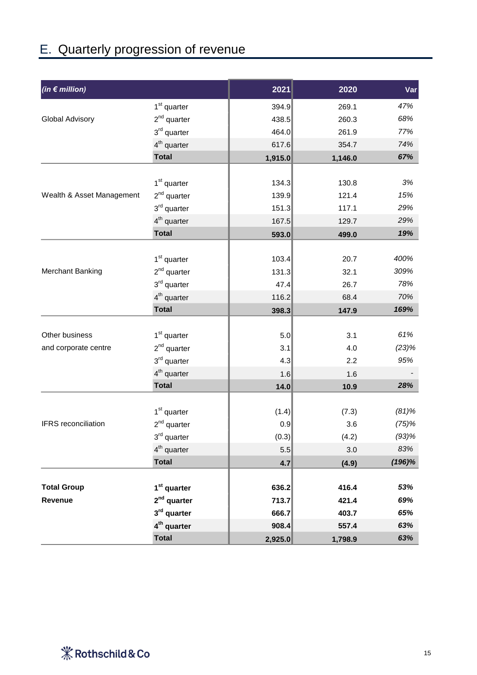# E. Quarterly progression of revenue

| (in $\epsilon$ million)   |                         | 2021    | 2020    | Var       |
|---------------------------|-------------------------|---------|---------|-----------|
|                           | 1 <sup>st</sup> quarter | 394.9   | 269.1   | 47%       |
| Global Advisory           | $2^{nd}$ quarter        | 438.5   | 260.3   | 68%       |
|                           | $3rd$ quarter           | 464.0   | 261.9   | 77%       |
|                           | 4 <sup>th</sup> quarter | 617.6   | 354.7   | 74%       |
|                           | <b>Total</b>            | 1,915.0 | 1,146.0 | 67%       |
|                           |                         |         |         |           |
|                           | 1 <sup>st</sup> quarter | 134.3   | 130.8   | $3\%$     |
| Wealth & Asset Management | $2nd$ quarter           | 139.9   | 121.4   | 15%       |
|                           | $3rd$ quarter           | 151.3   | 117.1   | 29%       |
|                           | $4th$ quarter           | 167.5   | 129.7   | 29%       |
|                           | <b>Total</b>            | 593.0   | 499.0   | 19%       |
|                           |                         |         |         |           |
|                           | 1 <sup>st</sup> quarter | 103.4   | 20.7    | 400%      |
| Merchant Banking          | $2^{nd}$ quarter        | 131.3   | 32.1    | 309%      |
|                           | $3rd$ quarter           | 47.4    | 26.7    | 78%       |
|                           | 4 <sup>th</sup> quarter | 116.2   | 68.4    | 70%       |
|                           | <b>Total</b>            | 398.3   | 147.9   | 169%      |
|                           |                         |         |         |           |
| Other business            | 1 <sup>st</sup> quarter | 5.0     | 3.1     | 61%       |
| and corporate centre      | $2^{nd}$ quarter        | 3.1     | 4.0     | (23)%     |
|                           | 3 <sup>rd</sup> quarter | 4.3     | 2.2     | 95%       |
|                           | 4 <sup>th</sup> quarter | 1.6     | 1.6     |           |
|                           | <b>Total</b>            | 14.0    | 10.9    | 28%       |
|                           |                         |         |         |           |
|                           | 1 <sup>st</sup> quarter | (1.4)   | (7.3)   | $(81)$ %  |
| IFRS reconciliation       | $2^{nd}$ quarter        | 0.9     | 3.6     | (75)%     |
|                           | $3^{\text{rd}}$ quarter | (0.3)   | (4.2)   | $(93)$ %  |
|                           | $4th$ quarter           | 5.5     | 3.0     | 83%       |
|                           | <b>Total</b>            | 4.7     | (4.9)   | $(196)\%$ |
|                           |                         |         |         |           |
| <b>Total Group</b>        | 1 <sup>st</sup> quarter | 636.2   | 416.4   | 53%       |
| Revenue                   | $2nd$ quarter           | 713.7   | 421.4   | 69%       |
|                           | 3rd quarter             | 666.7   | 403.7   | 65%       |
|                           | $4th$ quarter           | 908.4   | 557.4   | 63%       |
|                           | <b>Total</b>            | 2,925.0 | 1,798.9 | 63%       |

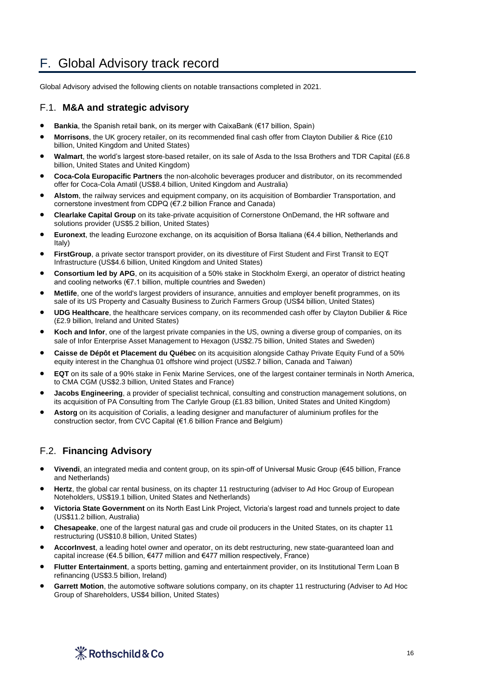# F. Global Advisory track record

Global Advisory advised the following clients on notable transactions completed in 2021.

### F.1. **M&A and strategic advisory**

- **Bankia**, the Spanish retail bank, on its merger with CaixaBank (€17 billion, Spain)
- **Morrisons**, the UK grocery retailer, on its recommended final cash offer from Clayton Dubilier & Rice (£10 billion, United Kingdom and United States)
- **Walmart**, the world's largest store-based retailer, on its sale of Asda to the Issa Brothers and TDR Capital (£6.8 billion, United States and United Kingdom)
- **Coca-Cola Europacific Partners** the non-alcoholic beverages producer and distributor, on its recommended offer for Coca-Cola Amatil (US\$8.4 billion, United Kingdom and Australia)
- **Alstom**, the railway services and equipment company, on its acquisition of Bombardier Transportation, and cornerstone investment from CDPQ (€7.2 billion France and Canada)
- **Clearlake Capital Group** on its take-private acquisition of Cornerstone OnDemand, the HR software and solutions provider (US\$5.2 billion, United States)
- **Euronext**, the leading Eurozone exchange, on its acquisition of Borsa Italiana (€4.4 billion, Netherlands and Italy)
- **FirstGroup**, a private sector transport provider, on its divestiture of First Student and First Transit to EQT Infrastructure (US\$4.6 billion, United Kingdom and United States)
- **Consortium led by APG**, on its acquisition of a 50% stake in Stockholm Exergi, an operator of district heating and cooling networks (€7.1 billion, multiple countries and Sweden)
- **Metlife**, one of the world's largest providers of insurance, annuities and employer benefit programmes, on its sale of its US Property and Casualty Business to Zurich Farmers Group (US\$4 billion, United States)
- **UDG Healthcare**, the healthcare services company, on its recommended cash offer by Clayton Dubilier & Rice (£2.9 billion, Ireland and United States)
- **Koch and Infor**, one of the largest private companies in the US, owning a diverse group of companies, on its sale of Infor Enterprise Asset Management to Hexagon (US\$2.75 billion, United States and Sweden)
- **Caisse de Dépôt et Placement du Québec** on its acquisition alongside Cathay Private Equity Fund of a 50% equity interest in the Changhua 01 offshore wind project (US\$2.7 billion, Canada and Taiwan)
- **EQT** on its sale of a 90% stake in Fenix Marine Services, one of the largest container terminals in North America, to CMA CGM (US\$2.3 billion, United States and France)
- **Jacobs Engineering**, a provider of specialist technical, consulting and construction management solutions, on its acquisition of PA Consulting from The Carlyle Group (£1.83 billion, United States and United Kingdom)
- **Astorg** on its acquisition of Corialis, a leading designer and manufacturer of aluminium profiles for the construction sector, from CVC Capital (€1.6 billion France and Belgium)

### F.2. **Financing Advisory**

- **Vivendi**, an integrated media and content group, on its spin-off of Universal Music Group (€45 billion, France and Netherlands)
- **Hertz**, the global car rental business, on its chapter 11 restructuring (adviser to Ad Hoc Group of European Noteholders, US\$19.1 billion, United States and Netherlands)
- **Victoria State Government** on its North East Link Project, Victoria's largest road and tunnels project to date (US\$11.2 billion, Australia)
- **Chesapeake**, one of the largest natural gas and crude oil producers in the United States, on its chapter 11 restructuring (US\$10.8 billion, United States)
- **AccorInvest**, a leading hotel owner and operator, on its debt restructuring, new state-guaranteed loan and capital increase (€4.5 billion, €477 million and €477 million respectively, France)
- **Flutter Entertainment**, a sports betting, gaming and entertainment provider, on its Institutional Term Loan B refinancing (US\$3.5 billion, Ireland)
- Garrett Motion, the automotive software solutions company, on its chapter 11 restructuring (Adviser to Ad Hoc Group of Shareholders, US\$4 billion, United States)

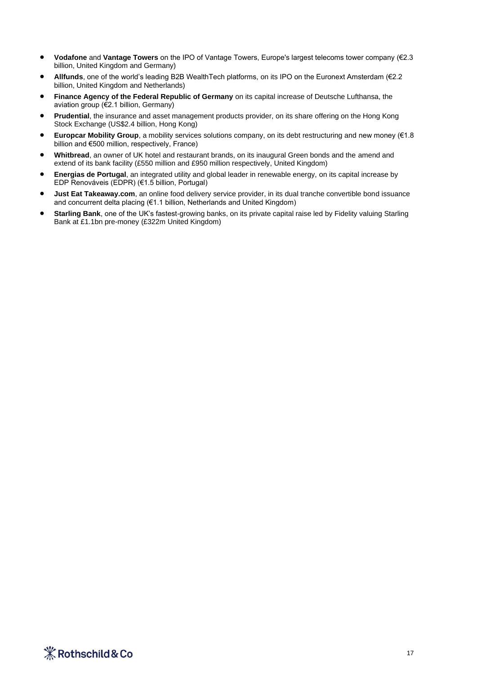- **Vodafone** and **Vantage Towers** on the IPO of Vantage Towers, Europe's largest telecoms tower company (€2.3 billion, United Kingdom and Germany)
- **Allfunds**, one of the world's leading B2B WealthTech platforms, on its IPO on the Euronext Amsterdam (€2.2 billion, United Kingdom and Netherlands)
- **Finance Agency of the Federal Republic of Germany** on its capital increase of Deutsche Lufthansa, the aviation group (€2.1 billion, Germany)
- **Prudential**, the insurance and asset management products provider, on its share offering on the Hong Kong Stock Exchange (US\$2.4 billion, Hong Kong)
- **Europcar Mobility Group**, a mobility services solutions company, on its debt restructuring and new money (€1.8 billion and €500 million, respectively, France)
- **Whitbread**, an owner of UK hotel and restaurant brands, on its inaugural Green bonds and the amend and extend of its bank facility (£550 million and £950 million respectively, United Kingdom)
- **Energias de Portugal**, an integrated utility and global leader in renewable energy, on its capital increase by EDP Renováveis (EDPR) (€1.5 billion, Portugal)
- **Just Eat Takeaway.com**, an online food delivery service provider, in its dual tranche convertible bond issuance and concurrent delta placing (€1.1 billion, Netherlands and United Kingdom)
- **Starling Bank**, one of the UK's fastest-growing banks, on its private capital raise led by Fidelity valuing Starling Bank at £1.1bn pre-money (£322m United Kingdom)

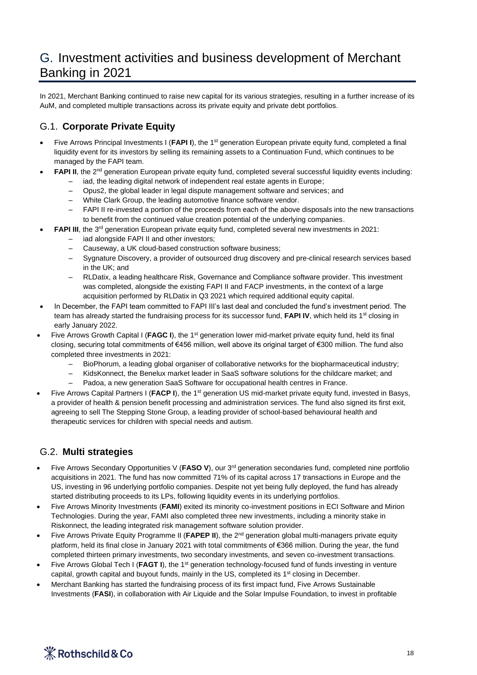# G. Investment activities and business development of Merchant Banking in 2021

In 2021, Merchant Banking continued to raise new capital for its various strategies, resulting in a further increase of its AuM, and completed multiple transactions across its private equity and private debt portfolios.

### G.1. **Corporate Private Equity**

- Five Arrows Principal Investments I (FAPI I), the 1<sup>st</sup> generation European private equity fund, completed a final liquidity event for its investors by selling its remaining assets to a Continuation Fund, which continues to be managed by the FAPI team.
- FAPI II, the 2<sup>nd</sup> generation European private equity fund, completed several successful liquidity events including:
	- iad, the leading digital network of independent real estate agents in Europe;
	- Opus2, the global leader in legal dispute management software and services; and
	- White Clark Group, the leading automotive finance software vendor.
	- FAPI II re-invested a portion of the proceeds from each of the above disposals into the new transactions to benefit from the continued value creation potential of the underlying companies.
- **FAPI III**, the 3<sup>rd</sup> generation European private equity fund, completed several new investments in 2021:
	- iad alongside FAPI II and other investors;
	- Causeway, a UK cloud-based construction software business;
	- Sygnature Discovery, a provider of outsourced drug discovery and pre-clinical research services based in the UK; and
	- RLDatix, a leading healthcare Risk, Governance and Compliance software provider. This investment was completed, alongside the existing FAPI II and FACP investments, in the context of a large acquisition performed by RLDatix in Q3 2021 which required additional equity capital.
- In December, the FAPI team committed to FAPI III's last deal and concluded the fund's investment period. The team has already started the fundraising process for its successor fund, FAPI IV, which held its 1<sup>st</sup> closing in early January 2022.
- Five Arrows Growth Capital I (FAGC I), the 1<sup>st</sup> generation lower mid-market private equity fund, held its final closing, securing total commitments of €456 million, well above its original target of €300 million. The fund also completed three investments in 2021:
	- BioPhorum, a leading global organiser of collaborative networks for the biopharmaceutical industry;
	- KidsKonnect, the Benelux market leader in SaaS software solutions for the childcare market; and
	- Padoa, a new generation SaaS Software for occupational health centres in France.
- Five Arrows Capital Partners I (FACP I), the 1<sup>st</sup> generation US mid-market private equity fund, invested in Basys, a provider of health & pension benefit processing and administration services. The fund also signed its first exit, agreeing to sell The Stepping Stone Group, a leading provider of school-based behavioural health and therapeutic services for children with special needs and autism.

### G.2. **Multi strategies**

- Five Arrows Secondary Opportunities V (FASO V), our 3<sup>rd</sup> generation secondaries fund, completed nine portfolio acquisitions in 2021. The fund has now committed 71% of its capital across 17 transactions in Europe and the US, investing in 96 underlying portfolio companies. Despite not yet being fully deployed, the fund has already started distributing proceeds to its LPs, following liquidity events in its underlying portfolios.
- Five Arrows Minority Investments (**FAMI**) exited its minority co-investment positions in ECI Software and Mirion Technologies. During the year, FAMI also completed three new investments, including a minority stake in Riskonnect, the leading integrated risk management software solution provider.
- Five Arrows Private Equity Programme II (**FAPEP II**), the 2nd generation global multi-managers private equity platform, held its final close in January 2021 with total commitments of €366 million. During the year, the fund completed thirteen primary investments, two secondary investments, and seven co-investment transactions.
- Five Arrows Global Tech I (**FAGT I**), the 1<sup>st</sup> generation technology-focused fund of funds investing in venture capital, growth capital and buyout funds, mainly in the US, completed its 1<sup>st</sup> closing in December.
- Merchant Banking has started the fundraising process of its first impact fund, Five Arrows Sustainable Investments (**FASI**), in collaboration with Air Liquide and the Solar Impulse Foundation, to invest in profitable

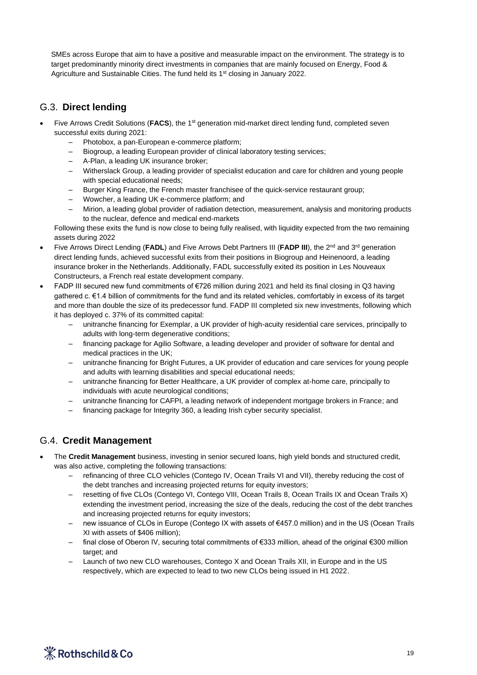SMEs across Europe that aim to have a positive and measurable impact on the environment. The strategy is to target predominantly minority direct investments in companies that are mainly focused on Energy, Food & Agriculture and Sustainable Cities. The fund held its 1<sup>st</sup> closing in January 2022.

### G.3. **Direct lending**

- Five Arrows Credit Solutions (FACS), the 1<sup>st</sup> generation mid-market direct lending fund, completed seven successful exits during 2021:
	- Photobox, a pan-European e-commerce platform;
	- Biogroup, a leading European provider of clinical laboratory testing services;
	- A-Plan, a leading UK insurance broker;
	- Witherslack Group, a leading provider of specialist education and care for children and young people with special educational needs;
	- Burger King France, the French master franchisee of the quick-service restaurant group;
	- Wowcher, a leading UK e-commerce platform; and
	- Mirion, a leading global provider of radiation detection, measurement, analysis and monitoring products to the nuclear, defence and medical end-markets

Following these exits the fund is now close to being fully realised, with liquidity expected from the two remaining assets during 2022

- Five Arrows Direct Lending (FADL) and Five Arrows Debt Partners III (FADP III), the 2<sup>nd</sup> and 3<sup>rd</sup> generation direct lending funds, achieved successful exits from their positions in Biogroup and Heinenoord, a leading insurance broker in the Netherlands. Additionally, FADL successfully exited its position in Les Nouveaux Constructeurs, a French real estate development company.
- FADP III secured new fund commitments of €726 million during 2021 and held its final closing in Q3 having gathered c. €1.4 billion of commitments for the fund and its related vehicles, comfortably in excess of its target and more than double the size of its predecessor fund. FADP III completed six new investments, following which it has deployed c. 37% of its committed capital:
	- unitranche financing for Exemplar, a UK provider of high-acuity residential care services, principally to adults with long-term degenerative conditions;
	- financing package for Agilio Software, a leading developer and provider of software for dental and medical practices in the UK;
	- unitranche financing for Bright Futures, a UK provider of education and care services for young people and adults with learning disabilities and special educational needs;
	- unitranche financing for Better Healthcare, a UK provider of complex at-home care, principally to individuals with acute neurological conditions;
	- unitranche financing for CAFPI, a leading network of independent mortgage brokers in France; and
	- financing package for Integrity 360, a leading Irish cyber security specialist.

### G.4. **Credit Management**

- The **Credit Management** business, investing in senior secured loans, high yield bonds and structured credit, was also active, completing the following transactions:
	- refinancing of three CLO vehicles (Contego IV, Ocean Trails VI and VII), thereby reducing the cost of the debt tranches and increasing projected returns for equity investors;
	- resetting of five CLOs (Contego VI, Contego VIII, Ocean Trails 8, Ocean Trails IX and Ocean Trails X) extending the investment period, increasing the size of the deals, reducing the cost of the debt tranches and increasing projected returns for equity investors;
	- new issuance of CLOs in Europe (Contego IX with assets of €457.0 million) and in the US (Ocean Trails XI with assets of \$406 million);
	- final close of Oberon IV, securing total commitments of €333 million, ahead of the original €300 million target; and
	- Launch of two new CLO warehouses, Contego X and Ocean Trails XII, in Europe and in the US respectively, which are expected to lead to two new CLOs being issued in H1 2022.